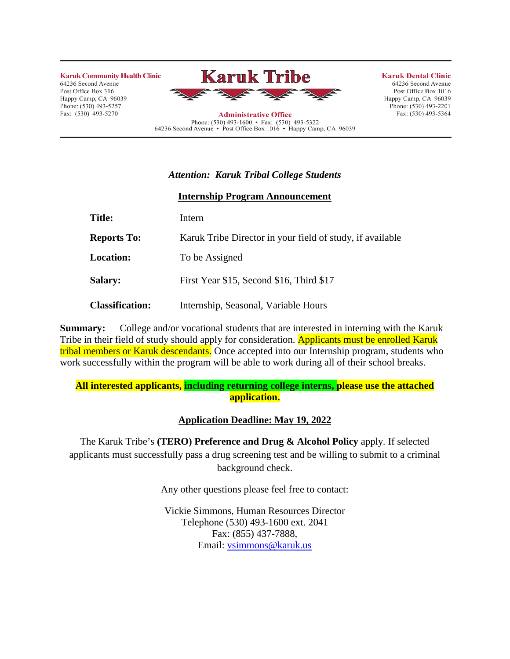**Karuk Community Health Clinic** 64236 Second Avenue Post Office Box 316 Happy Camp, CA 96039 Phone: (530) 493-5257 Fax: (530) 493-5270



Phone: (530) 493-1600 • Fax: (530) 493-5322<br>64236 Second Avenue • Post Office Box 1016 • Happy Camp, CA 96039

**Karuk Dental Clinic** 

64236 Second Avenue Post Office Box 1016 Happy Camp, CA 96039 Phone:  $(530)$  493-2201 Fax: (530) 493-5364

# *Attention: Karuk Tribal College Students*

#### **Internship Program Announcement**

| <b>Title:</b>          | Intern                                                    |  |  |  |
|------------------------|-----------------------------------------------------------|--|--|--|
| <b>Reports To:</b>     | Karuk Tribe Director in your field of study, if available |  |  |  |
| <b>Location:</b>       | To be Assigned                                            |  |  |  |
| <b>Salary:</b>         | First Year \$15, Second \$16, Third \$17                  |  |  |  |
| <b>Classification:</b> | Internship, Seasonal, Variable Hours                      |  |  |  |

**Summary:** College and/or vocational students that are interested in interning with the Karuk Tribe in their field of study should apply for consideration. Applicants must be enrolled Karuk tribal members or Karuk descendants. Once accepted into our Internship program, students who work successfully within the program will be able to work during all of their school breaks.

## **All interested applicants, including returning college interns, please use the attached application.**

## **Application Deadline: May 19, 2022**

The Karuk Tribe's **(TERO) Preference and Drug & Alcohol Policy** apply. If selected applicants must successfully pass a drug screening test and be willing to submit to a criminal background check.

Any other questions please feel free to contact:

Vickie Simmons, Human Resources Director Telephone (530) 493-1600 ext. 2041 Fax: (855) 437-7888, Email: [vsimmons@karuk.us](mailto:vsimmons@karuk.us)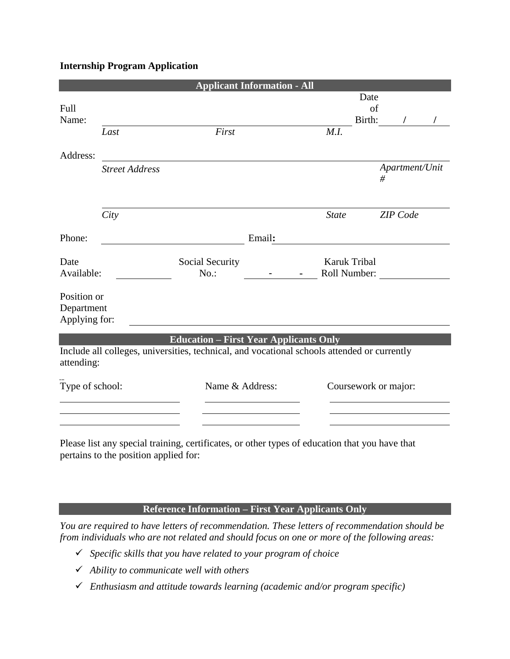### **Internship Program Application**

| <b>Applicant Information - All</b>         |                       |                                                                                                                                              |                 |  |                              |                      |   |                 |  |
|--------------------------------------------|-----------------------|----------------------------------------------------------------------------------------------------------------------------------------------|-----------------|--|------------------------------|----------------------|---|-----------------|--|
| Full<br>Name:                              |                       |                                                                                                                                              |                 |  |                              | Date<br>of<br>Birth: |   |                 |  |
|                                            | Last                  | First                                                                                                                                        |                 |  | M.I.                         |                      |   |                 |  |
| Address:                                   |                       |                                                                                                                                              |                 |  |                              |                      |   |                 |  |
|                                            | <b>Street Address</b> |                                                                                                                                              |                 |  |                              |                      | # | Apartment/Unit  |  |
|                                            | City                  |                                                                                                                                              |                 |  | <b>State</b>                 |                      |   | <b>ZIP</b> Code |  |
| Phone:                                     |                       |                                                                                                                                              | Email:          |  |                              |                      |   |                 |  |
| Date<br>Available:                         |                       | Social Security<br>$No.$ :                                                                                                                   |                 |  | Karuk Tribal<br>Roll Number: |                      |   |                 |  |
| Position or<br>Department<br>Applying for: |                       |                                                                                                                                              |                 |  |                              |                      |   |                 |  |
|                                            |                       |                                                                                                                                              |                 |  |                              |                      |   |                 |  |
| attending:                                 |                       | <b>Education – First Year Applicants Only</b><br>Include all colleges, universities, technical, and vocational schools attended or currently |                 |  |                              |                      |   |                 |  |
| Type of school:                            |                       |                                                                                                                                              | Name & Address: |  | Coursework or major:         |                      |   |                 |  |
|                                            |                       |                                                                                                                                              |                 |  |                              |                      |   |                 |  |
|                                            |                       |                                                                                                                                              |                 |  |                              |                      |   |                 |  |

Please list any special training, certificates, or other types of education that you have that pertains to the position applied for:

## **Reference Information – First Year Applicants Only**

*You are required to have letters of recommendation. These letters of recommendation should be from individuals who are not related and should focus on one or more of the following areas:*

- ✓ *Specific skills that you have related to your program of choice*
- ✓ *Ability to communicate well with others*
- ✓ *Enthusiasm and attitude towards learning (academic and/or program specific)*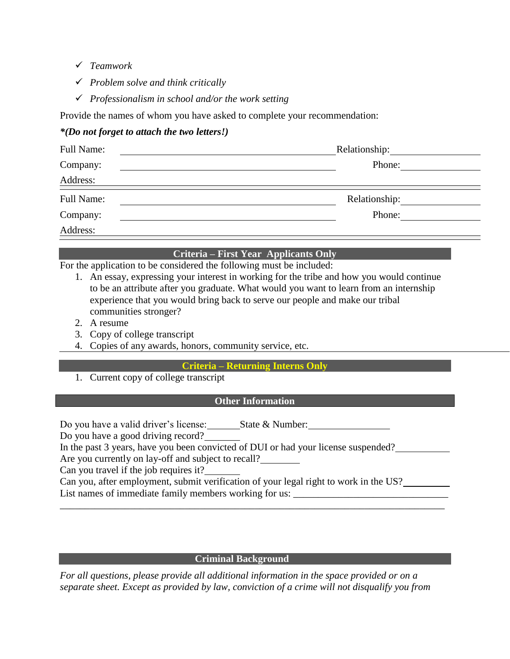- ✓ *Teamwork*
- ✓ *Problem solve and think critically*
- ✓ *Professionalism in school and/or the work setting*

Provide the names of whom you have asked to complete your recommendation:

## *\*(Do not forget to attach the two letters!)*

| Full Name: | Relationship: |  |  |
|------------|---------------|--|--|
| Company:   | Phone:        |  |  |
| Address:   |               |  |  |
| Full Name: |               |  |  |
| Company:   | Phone:        |  |  |
| Address:   |               |  |  |

### **Criteria – First Year Applicants Only**

For the application to be considered the following must be included:

- 1. An essay, expressing your interest in working for the tribe and how you would continue to be an attribute after you graduate. What would you want to learn from an internship experience that you would bring back to serve our people and make our tribal communities stronger?
- 2. A resume
- 3. Copy of college transcript
- 4. Copies of any awards, honors, community service, etc.

## **Criteria – Returning Interns Only**

1. Current copy of college transcript

### **Other Information**

Do you have a valid driver's license: State & Number:

Do you have a good driving record?

In the past 3 years, have you been convicted of DUI or had your license suspended?

Are you currently on lay-off and subject to recall?

Can you travel if the job requires it?

Can you, after employment, submit verification of your legal right to work in the US? List names of immediate family members working for us:

\_\_\_\_\_\_\_\_\_\_\_\_\_\_\_\_\_\_\_\_\_\_\_\_\_\_\_\_\_\_\_\_\_\_\_\_\_\_\_\_\_\_\_\_\_\_\_\_\_\_\_\_\_\_\_\_\_\_\_\_\_\_\_\_\_\_\_\_\_\_\_\_\_\_\_\_\_

#### *<u><b>Criminal Background</u>*

*For all questions, please provide all additional information in the space provided or on a separate sheet. Except as provided by law, conviction of a crime will not disqualify you from*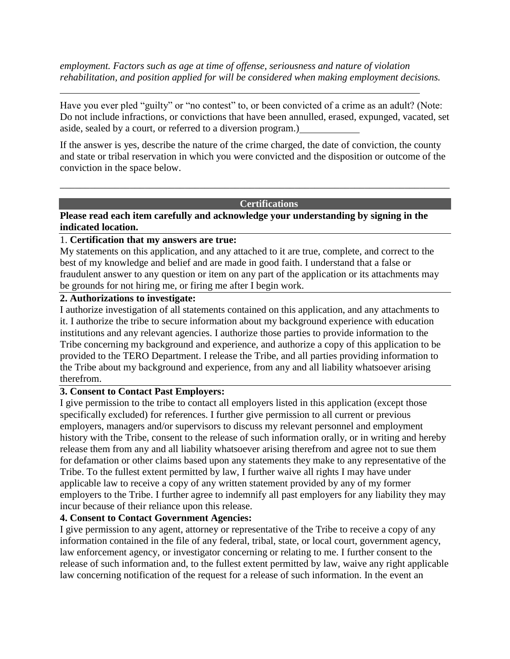*employment. Factors such as age at time of offense, seriousness and nature of violation rehabilitation, and position applied for will be considered when making employment decisions.*

Have you ever pled "guilty" or "no contest" to, or been convicted of a crime as an adult? (Note: Do not include infractions, or convictions that have been annulled, erased, expunged, vacated, set aside, sealed by a court, or referred to a diversion program.)

If the answer is yes, describe the nature of the crime charged, the date of conviction, the county and state or tribal reservation in which you were convicted and the disposition or outcome of the conviction in the space below.

\_\_\_\_\_\_\_\_\_\_\_\_\_\_\_\_\_\_\_\_\_\_\_\_\_\_\_\_\_\_\_\_\_\_\_\_\_\_\_\_\_\_\_\_\_\_\_\_\_\_\_\_\_\_\_\_\_\_\_\_\_\_\_\_\_\_\_\_\_\_\_\_\_\_\_\_\_\_

#### **Certifications**

**Please read each item carefully and acknowledge your understanding by signing in the indicated location.**

#### 1. **Certification that my answers are true:**

My statements on this application, and any attached to it are true, complete, and correct to the best of my knowledge and belief and are made in good faith. I understand that a false or fraudulent answer to any question or item on any part of the application or its attachments may be grounds for not hiring me, or firing me after I begin work.

### **2. Authorizations to investigate:**

I authorize investigation of all statements contained on this application, and any attachments to it. I authorize the tribe to secure information about my background experience with education institutions and any relevant agencies. I authorize those parties to provide information to the Tribe concerning my background and experience, and authorize a copy of this application to be provided to the TERO Department. I release the Tribe, and all parties providing information to the Tribe about my background and experience, from any and all liability whatsoever arising therefrom.

#### **3. Consent to Contact Past Employers:**

I give permission to the tribe to contact all employers listed in this application (except those specifically excluded) for references. I further give permission to all current or previous employers, managers and/or supervisors to discuss my relevant personnel and employment history with the Tribe, consent to the release of such information orally, or in writing and hereby release them from any and all liability whatsoever arising therefrom and agree not to sue them for defamation or other claims based upon any statements they make to any representative of the Tribe. To the fullest extent permitted by law, I further waive all rights I may have under applicable law to receive a copy of any written statement provided by any of my former employers to the Tribe. I further agree to indemnify all past employers for any liability they may incur because of their reliance upon this release.

## **4. Consent to Contact Government Agencies:**

I give permission to any agent, attorney or representative of the Tribe to receive a copy of any information contained in the file of any federal, tribal, state, or local court, government agency, law enforcement agency, or investigator concerning or relating to me. I further consent to the release of such information and, to the fullest extent permitted by law, waive any right applicable law concerning notification of the request for a release of such information. In the event an